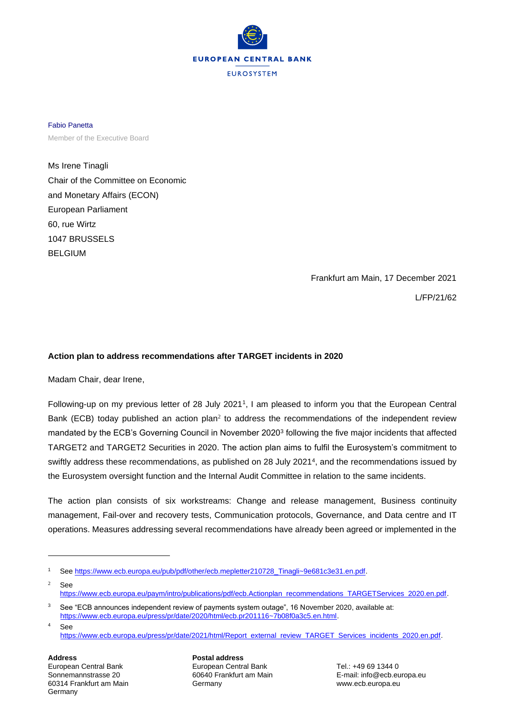

Fabio Panetta Member of the Executive Board

Ms Irene Tinagli Chair of the Committee on Economic and Monetary Affairs (ECON) European Parliament 60, rue Wirtz 1047 BRUSSELS BELGIUM

Frankfurt am Main, 17 December 2021

L/FP/21/62

## **Action plan to address recommendations after TARGET incidents in 2020**

Madam Chair, dear Irene,

Following-up on my previous letter of 28 July 2021<sup>1</sup>, I am pleased to inform you that the European Central Bank (ECB) today published an action plan<sup>2</sup> to address the recommendations of the independent review mandated by the ECB's Governing Council in November 2020<sup>3</sup> following the five major incidents that affected TARGET2 and TARGET2 Securities in 2020. The action plan aims to fulfil the Eurosystem's commitment to swiftly address these recommendations, as published on 28 July 2021<sup>4</sup>, and the recommendations issued by the Eurosystem oversight function and the Internal Audit Committee in relation to the same incidents.

The action plan consists of six workstreams: Change and release management, Business continuity management, Fail-over and recovery tests, Communication protocols, Governance, and Data centre and IT operations. Measures addressing several recommendations have already been agreed or implemented in the

**Address Postal address** 60314 Frankfurt am Main Germany www.ecb.europa.eu **Germany** 

European Central Bank Tel.: +49 69 1344 0

Sonnemannstrasse 20 60640 Frankfurt am Main E-mail: info@ecb.europa.eu

<sup>1</sup> See [https://www.ecb.europa.eu/pub/pdf/other/ecb.mepletter210728\\_Tinagli~9e681c3e31.en.pdf.](https://www.ecb.europa.eu/pub/pdf/other/ecb.mepletter210728_Tinagli~9e681c3e31.en.pdf)

 $2$  See [https://www.ecb.europa.eu/paym/intro/publications/pdf/ecb.Actionplan\\_recommendations\\_TARGETServices\\_2020.en.pdf.](https://www.ecb.europa.eu/paym/intro/publications/pdf/ecb.Actionplan_recommendations_TARGETServices_2020.en.pdf)

<sup>&</sup>lt;sup>3</sup> See "ECB announces independent review of payments system outage", 16 November 2020, available at: [https://www.ecb.europa.eu/press/pr/date/2020/html/ecb.pr201116~7b08f0a3c5.en.html.](https://www.ecb.europa.eu/press/pr/date/2020/html/ecb.pr201116~7b08f0a3c5.en.html) <sup>4</sup> See

[https://www.ecb.europa.eu/press/pr/date/2021/html/Report\\_external\\_review\\_TARGET\\_Services\\_incidents\\_2020.en.pdf.](https://www.ecb.europa.eu/press/pr/date/2021/html/Report_external_review_TARGET_Services_incidents_2020.en.pdf)